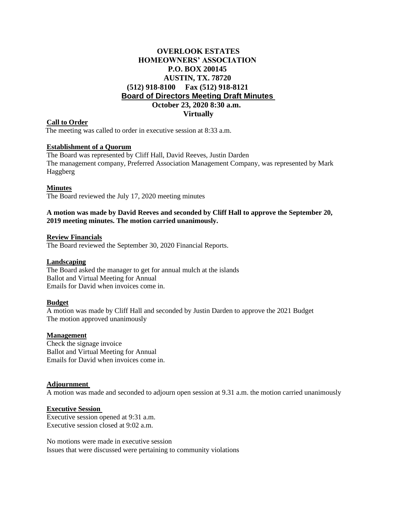# **OVERLOOK ESTATES HOMEOWNERS' ASSOCIATION P.O. BOX 200145 AUSTIN, TX. 78720 (512) 918-8100 Fax (512) 918-8121 Board of Directors Meeting Draft Minutes October 23, 2020 8:30 a.m. Virtually**

# **Call to Order**

The meeting was called to order in executive session at 8:33 a.m.

# **Establishment of a Quorum**

The Board was represented by Cliff Hall, David Reeves, Justin Darden The management company, Preferred Association Management Company, was represented by Mark Haggberg

### **Minutes**

The Board reviewed the July 17, 2020 meeting minutes

# **A motion was made by David Reeves and seconded by Cliff Hall to approve the September 20, 2019 meeting minutes. The motion carried unanimously.**

#### **Review Financials**

The Board reviewed the September 30, 2020 Financial Reports.

#### **Landscaping**

The Board asked the manager to get for annual mulch at the islands Ballot and Virtual Meeting for Annual Emails for David when invoices come in.

# **Budget**

A motion was made by Cliff Hall and seconded by Justin Darden to approve the 2021 Budget The motion approved unanimously

#### **Management**

Check the signage invoice Ballot and Virtual Meeting for Annual Emails for David when invoices come in.

# **Adjournment**

A motion was made and seconded to adjourn open session at 9.31 a.m. the motion carried unanimously

# **Executive Session**

Executive session opened at 9:31 a.m. Executive session closed at 9:02 a.m.

No motions were made in executive session Issues that were discussed were pertaining to community violations